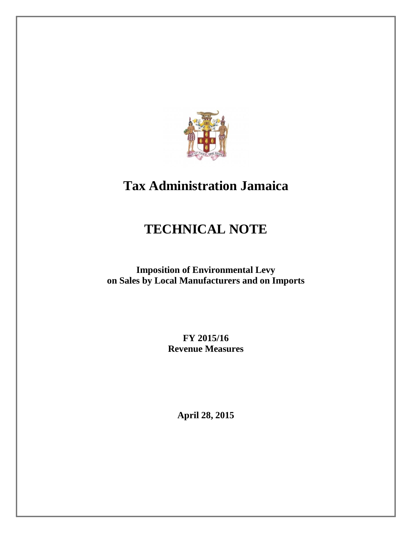

# **Tax Administration Jamaica**

# **TECHNICAL NOTE**

**Imposition of Environmental Levy on Sales by Local Manufacturers and on Imports**

> **FY 2015/16 Revenue Measures**

> > **April 28, 2015**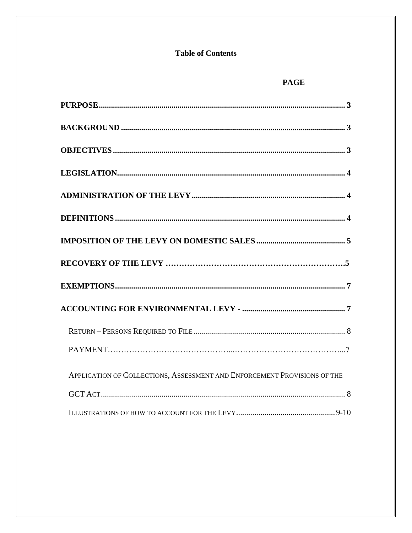# **Table of Contents**

# **PAGE**

| APPLICATION OF COLLECTIONS, ASSESSMENT AND ENFORCEMENT PROVISIONS OF THE |  |
|--------------------------------------------------------------------------|--|
|                                                                          |  |
|                                                                          |  |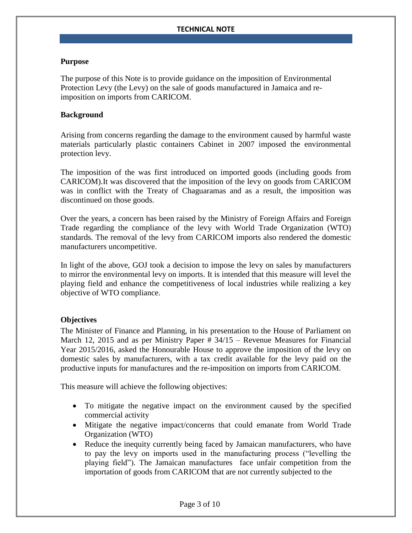#### <span id="page-2-0"></span>**Purpose**

The purpose of this Note is to provide guidance on the imposition of Environmental Protection Levy (the Levy) on the sale of goods manufactured in Jamaica and reimposition on imports from CARICOM.

#### <span id="page-2-1"></span>**Background**

Arising from concerns regarding the damage to the environment caused by harmful waste materials particularly plastic containers Cabinet in 2007 imposed the environmental protection levy.

The imposition of the was first introduced on imported goods (including goods from CARICOM).It was discovered that the imposition of the levy on goods from CARICOM was in conflict with the Treaty of Chaguaramas and as a result, the imposition was discontinued on those goods.

Over the years, a concern has been raised by the Ministry of Foreign Affairs and Foreign Trade regarding the compliance of the levy with World Trade Organization (WTO) standards. The removal of the levy from CARICOM imports also rendered the domestic manufacturers uncompetitive.

In light of the above, GOJ took a decision to impose the levy on sales by manufacturers to mirror the environmental levy on imports. It is intended that this measure will level the playing field and enhance the competitiveness of local industries while realizing a key objective of WTO compliance.

#### <span id="page-2-2"></span>**Objectives**

The Minister of Finance and Planning, in his presentation to the House of Parliament on March 12, 2015 and as per Ministry Paper # 34/15 – Revenue Measures for Financial Year 2015/2016, asked the Honourable House to approve the imposition of the levy on domestic sales by manufacturers, with a tax credit available for the levy paid on the productive inputs for manufactures and the re-imposition on imports from CARICOM.

This measure will achieve the following objectives:

- To mitigate the negative impact on the environment caused by the specified commercial activity
- Mitigate the negative impact/concerns that could emanate from World Trade Organization (WTO)
- Reduce the inequity currently being faced by Jamaican manufacturers, who have to pay the levy on imports used in the manufacturing process ("levelling the playing field"). The Jamaican manufactures face unfair competition from the importation of goods from CARICOM that are not currently subjected to the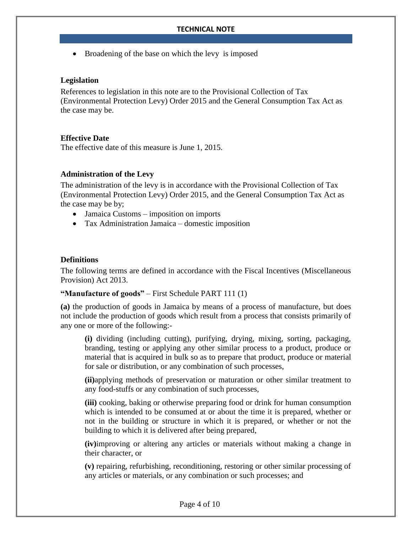• Broadening of the base on which the levy is imposed

#### <span id="page-3-0"></span>**Legislation**

References to legislation in this note are to the Provisional Collection of Tax (Environmental Protection Levy) Order 2015 and the General Consumption Tax Act as the case may be.

## **Effective Date**

The effective date of this measure is June 1, 2015.

## <span id="page-3-1"></span>**Administration of the Levy**

The administration of the levy is in accordance with the Provisional Collection of Tax (Environmental Protection Levy) Order 2015, and the General Consumption Tax Act as the case may be by;

- Jamaica Customs imposition on imports
- Tax Administration Jamaica domestic imposition

## <span id="page-3-2"></span>**Definitions**

The following terms are defined in accordance with the Fiscal Incentives (Miscellaneous Provision) Act 2013.

#### **"Manufacture of goods"** – First Schedule PART 111 (1)

**(a)** the production of goods in Jamaica by means of a process of manufacture, but does not include the production of goods which result from a process that consists primarily of any one or more of the following:-

**(i)** dividing (including cutting), purifying, drying, mixing, sorting, packaging, branding, testing or applying any other similar process to a product, produce or material that is acquired in bulk so as to prepare that product, produce or material for sale or distribution, or any combination of such processes,

**(ii)**applying methods of preservation or maturation or other similar treatment to any food-stuffs or any combination of such processes,

**(iii)** cooking, baking or otherwise preparing food or drink for human consumption which is intended to be consumed at or about the time it is prepared, whether or not in the building or structure in which it is prepared, or whether or not the building to which it is delivered after being prepared,

**(iv)**improving or altering any articles or materials without making a change in their character, or

**(v)** repairing, refurbishing, reconditioning, restoring or other similar processing of any articles or materials, or any combination or such processes; and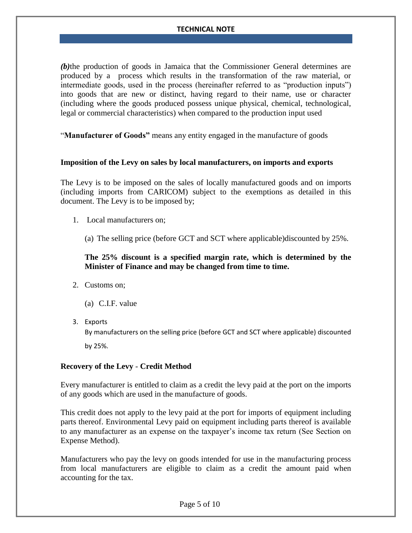*(b)*the production of goods in Jamaica that the Commissioner General determines are produced by a process which results in the transformation of the raw material, or intermediate goods, used in the process (hereinafter referred to as "production inputs") into goods that are new or distinct, having regard to their name, use or character (including where the goods produced possess unique physical, chemical, technological, legal or commercial characteristics) when compared to the production input used

"**Manufacturer of Goods"** means any entity engaged in the manufacture of goods

#### <span id="page-4-0"></span>**Imposition of the Levy on sales by local manufacturers, on imports and exports**

The Levy is to be imposed on the sales of locally manufactured goods and on imports (including imports from CARICOM) subject to the exemptions as detailed in this document. The Levy is to be imposed by;

- 1. Local manufacturers on;
	- (a) The selling price (before GCT and SCT where applicable)discounted by 25%.

## **The 25% discount is a specified margin rate, which is determined by the Minister of Finance and may be changed from time to time.**

- 2. Customs on;
	- (a) C.I.F. value
- 3. Exports

By manufacturers on the selling price (before GCT and SCT where applicable) discounted by 25%.

#### <span id="page-4-1"></span>**Recovery of the Levy** - **Credit Method**

Every manufacturer is entitled to claim as a credit the levy paid at the port on the imports of any goods which are used in the manufacture of goods.

This credit does not apply to the levy paid at the port for imports of equipment including parts thereof. Environmental Levy paid on equipment including parts thereof is available to any manufacturer as an expense on the taxpayer's income tax return (See Section on Expense Method).

Manufacturers who pay the levy on goods intended for use in the manufacturing process from local manufacturers are eligible to claim as a credit the amount paid when accounting for the tax.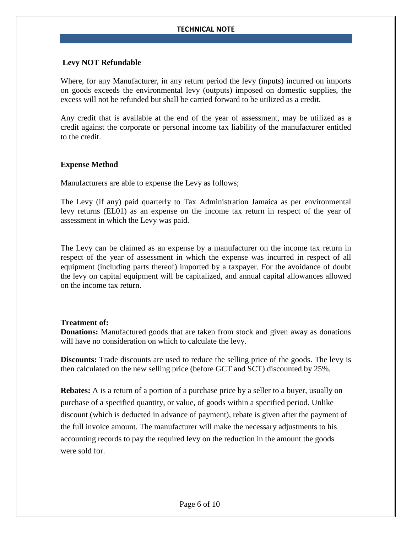## **Levy NOT Refundable**

Where, for any Manufacturer, in any return period the levy (inputs) incurred on imports on goods exceeds the environmental levy (outputs) imposed on domestic supplies, the excess will not be refunded but shall be carried forward to be utilized as a credit.

Any credit that is available at the end of the year of assessment, may be utilized as a credit against the corporate or personal income tax liability of the manufacturer entitled to the credit.

#### **Expense Method**

Manufacturers are able to expense the Levy as follows;

The Levy (if any) paid quarterly to Tax Administration Jamaica as per environmental levy returns (EL01) as an expense on the income tax return in respect of the year of assessment in which the Levy was paid.

The Levy can be claimed as an expense by a manufacturer on the income tax return in respect of the year of assessment in which the expense was incurred in respect of all equipment (including parts thereof) imported by a taxpayer. For the avoidance of doubt the levy on capital equipment will be capitalized, and annual capital allowances allowed on the income tax return.

#### **Treatment of:**

**Donations:** Manufactured goods that are taken from stock and given away as donations will have no consideration on which to calculate the levy.

**Discounts:** Trade discounts are used to reduce the selling price of the goods. The levy is then calculated on the new selling price (before GCT and SCT) discounted by 25%.

**Rebates:** A is a [return](http://www.businessdictionary.com/definition/return.html) of a portion of a [purchase](http://www.businessdictionary.com/definition/purchase.html) [price](http://www.businessdictionary.com/definition/labor-rate-price-variance.html) by a [seller](http://www.businessdictionary.com/definition/seller.html) to a [buyer,](http://www.businessdictionary.com/definition/buyer.html) usually on purchase of a specified [quantity,](http://www.businessdictionary.com/definition/quantity.html) or [value,](http://www.businessdictionary.com/definition/value.html) of [goods](http://www.businessdictionary.com/definition/goods.html) within a specified [period.](http://www.businessdictionary.com/definition/period.html) Unlike [discount](http://www.businessdictionary.com/definition/discount.html) (which is deducted in [advance](http://www.businessdictionary.com/definition/advance.html) of [payment\)](http://www.businessdictionary.com/definition/payment.html), rebate is given after the payment of the full [invoice](http://www.businessdictionary.com/definition/invoice.html) [amount.](http://www.businessdictionary.com/definition/amount.html) The manufacturer will make the necessary adjustments to his accounting records to pay the required levy on the reduction in the amount the goods were sold for.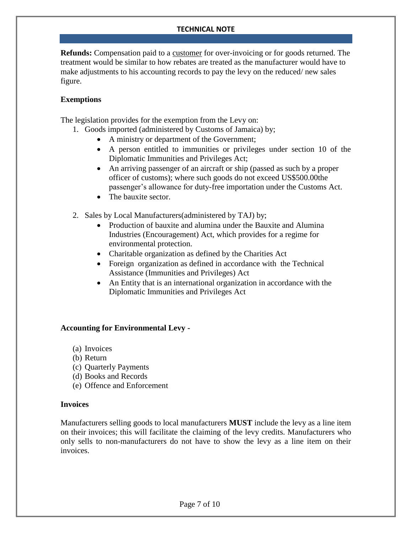**Refunds:** Compensation paid to a [customer](http://www.businessdictionary.com/definition/customer.html) for over-invoicing or for goods returned. The treatment would be similar to how rebates are treated as the manufacturer would have to make adjustments to his accounting records to pay the levy on the reduced/ new sales figure.

## <span id="page-6-0"></span>**Exemptions**

The legislation provides for the exemption from the Levy on:

- 1. Goods imported (administered by Customs of Jamaica) by;
	- A ministry or department of the Government;
	- A person entitled to immunities or privileges under section 10 of the Diplomatic Immunities and Privileges Act;
	- An arriving passenger of an aircraft or ship (passed as such by a proper officer of customs); where such goods do not exceed US\$500.00the passenger's allowance for duty-free importation under the Customs Act.
	- The bauxite sector.
- 2. Sales by Local Manufacturers(administered by TAJ) by;
	- Production of bauxite and alumina under the Bauxite and Alumina Industries (Encouragement) Act, which provides for a regime for environmental protection.
	- Charitable organization as defined by the Charities Act
	- Foreign organization as defined in accordance with the Technical Assistance (Immunities and Privileges) Act
	- An Entity that is an international organization in accordance with the Diplomatic Immunities and Privileges Act

#### <span id="page-6-1"></span>**Accounting for Environmental Levy -**

- (a) Invoices
- (b) Return
- (c) Quarterly Payments
- (d) Books and Records
- (e) Offence and Enforcement

#### **Invoices**

Manufacturers selling goods to local manufacturers **MUST** include the levy as a line item on their invoices; this will facilitate the claiming of the levy credits. Manufacturers who only sells to non-manufacturers do not have to show the levy as a line item on their invoices.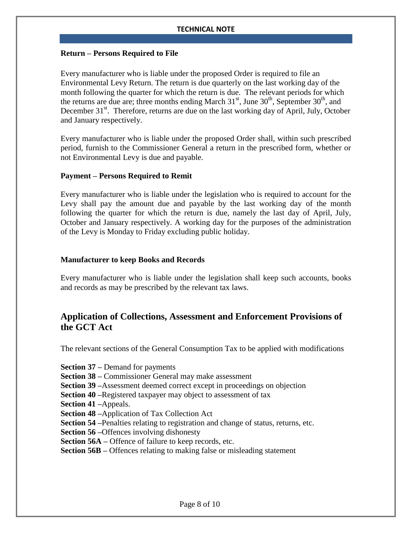#### <span id="page-7-0"></span>**Return – Persons Required to File**

Every manufacturer who is liable under the proposed Order is required to file an Environmental Levy Return. The return is due quarterly on the last working day of the month following the quarter for which the return is due. The relevant periods for which the returns are due are; three months ending March  $31<sup>st</sup>$ , June  $30<sup>th</sup>$ , September  $30<sup>th</sup>$ , and December 31<sup>st</sup>. Therefore, returns are due on the last working day of April, July, October and January respectively.

Every manufacturer who is liable under the proposed Order shall, within such prescribed period, furnish to the Commissioner General a return in the prescribed form, whether or not Environmental Levy is due and payable.

#### **Payment – Persons Required to Remit**

Every manufacturer who is liable under the legislation who is required to account for the Levy shall pay the amount due and payable by the last working day of the month following the quarter for which the return is due, namely the last day of April, July, October and January respectively. A working day for the purposes of the administration of the Levy is Monday to Friday excluding public holiday.

#### **Manufacturer to keep Books and Records**

Every manufacturer who is liable under the legislation shall keep such accounts, books and records as may be prescribed by the relevant tax laws.

# <span id="page-7-1"></span>**Application of Collections, Assessment and Enforcement Provisions of the GCT Act**

The relevant sections of the General Consumption Tax to be applied with modifications

**Section 37 –** Demand for payments

**Section 38 –** Commissioner General may make assessment

- **Section 39 –**Assessment deemed correct except in proceedings on objection
- **Section 40 –**Registered taxpayer may object to assessment of tax
- **Section 41 –**Appeals.
- **Section 48 –**Application of Tax Collection Act
- **Section 54** Penalties relating to registration and change of status, returns, etc.

**Section 56 –**Offences involving dishonesty

- **Section 56A –** Offence of failure to keep records, etc.
- **Section 56B –** Offences relating to making false or misleading statement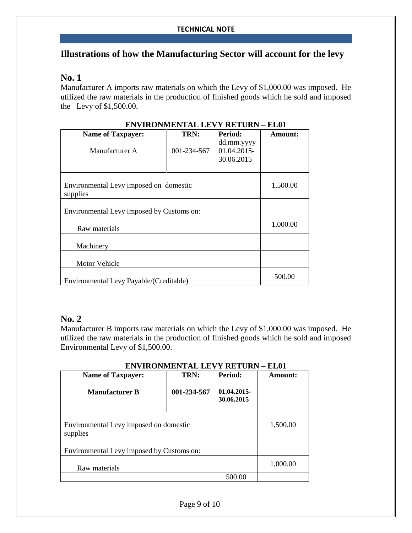# <span id="page-8-0"></span>**Illustrations of how the Manufacturing Sector will account for the levy**

## **No. 1**

Manufacturer A imports raw materials on which the Levy of \$1,000.00 was imposed. He utilized the raw materials in the production of finished goods which he sold and imposed the Levy of \$1,500.00.

| <b>Name of Taxpayer:</b>                           | TRN:        | <b>Period:</b>                          | Amount:  |
|----------------------------------------------------|-------------|-----------------------------------------|----------|
| Manufacturer A                                     | 001-234-567 | dd.mm.yyyy<br>01.04.2015-<br>30.06.2015 |          |
| Environmental Levy imposed on domestic<br>supplies |             |                                         | 1,500.00 |
| Environmental Levy imposed by Customs on:          |             |                                         |          |
| Raw materials                                      |             |                                         | 1,000.00 |
| Machinery                                          |             |                                         |          |
| <b>Motor Vehicle</b>                               |             |                                         |          |
| Environmental Levy Payable/(Creditable)            |             |                                         | 500.00   |

## **ENVIRONMENTAL LEVY RETURN – EL01**

# **No. 2**

Manufacturer B imports raw materials on which the Levy of \$1,000.00 was imposed. He utilized the raw materials in the production of finished goods which he sold and imposed Environmental Levy of \$1,500.00.

| <b>Name of Taxpayer:</b>                           | TRN:        | Period:                  | Amount:  |
|----------------------------------------------------|-------------|--------------------------|----------|
| <b>Manufacturer B</b>                              | 001-234-567 | 01.04.2015<br>30.06.2015 |          |
| Environmental Levy imposed on domestic<br>supplies |             |                          | 1,500.00 |
| Environmental Levy imposed by Customs on:          |             |                          |          |
| Raw materials                                      |             |                          | 1,000.00 |
|                                                    |             | 500.00                   |          |

## **ENVIRONMENTAL LEVY RETURN – EL01**